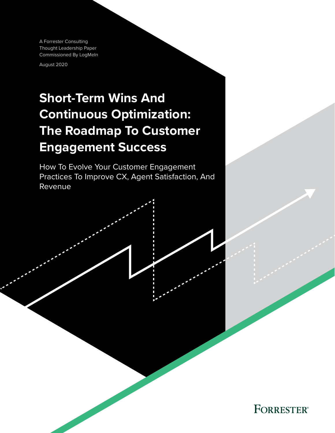A Forrester Consulting Thought Leadership Paper Commissioned By LogMeIn

August 2020

# **Short-Term Wins And Continuous Optimization: The Roadmap To Customer Engagement Success**

How To Evolve Your Customer Engagement Practices To Improve CX, Agent Satisfaction, And Revenue

**FORRESTER®**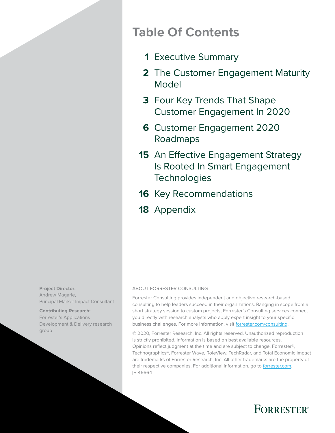# **Table Of Contents**

- [Executive Summary](#page-2-0) **1**
- [The Customer Engagement Maturity](#page-3-0)  **2** [Model](#page-3-0)
- **3** Four Key Trends That Shape [Customer Engagement In 2020](#page-4-0)
- [Customer Engagement 2020](#page-7-0)  **6** [Roadmaps](#page-7-0)
- **15** An Effective Engagement Strategy [Is Rooted In Smart Engagement](#page-16-0)  **Technologies**
- 16 [Key Recommendations](#page-17-0)
- 18 [Appendix](#page-19-0)

**Project Director:**  Andrew Magarie, Principal Market Impact Consultant

**Contributing Research:**  Forrester's Applications Development & Delivery research group

#### ABOUT FORRESTER CONSULTING

Forrester Consulting provides independent and objective research-based consulting to help leaders succeed in their organizations. Ranging in scope from a short strategy session to custom projects, Forrester's Consulting services connect you directly with research analysts who apply expert insight to your specific business challenges. For more information, visit [forrester.com/consulting.](https://go.forrester.com/consulting/)

© 2020, Forrester Research, Inc. All rights reserved. Unauthorized reproduction is strictly prohibited. Information is based on best available resources. Opinions reflect judgment at the time and are subject to change. Forrester®, Technographics®, Forrester Wave, RoleView, TechRadar, and Total Economic Impact are trademarks of Forrester Research, Inc. All other trademarks are the property of their respective companies. For additional information, go to [forrester.com](https://www.forrester.com/home/). [E-46664]

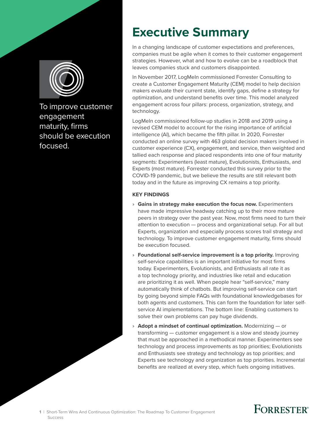<span id="page-2-0"></span>

To improve customer engagement maturity, firms should be execution focused.

# **Executive Summary**

In a changing landscape of customer expectations and preferences, companies must be agile when it comes to their customer engagement strategies. However, what and how to evolve can be a roadblock that leaves companies stuck and customers disappointed.

In November 2017, LogMeIn commissioned Forrester Consulting to create a Customer Engagement Maturity (CEM) model to help decision makers evaluate their current state, identify gaps, define a strategy for optimization, and understand benefits over time. This model analyzed engagement across four pillars: process, organization, strategy, and technology.

LogMeIn commissioned follow-up studies in 2018 and 2019 using a revised CEM model to account for the rising importance of artificial intelligence (AI), which became the fifth pillar. In 2020, Forrester conducted an online survey with 463 global decision makers involved in customer experience (CX), engagement, and service, then weighted and tallied each response and placed respondents into one of four maturity segments: Experimenters (least mature), Evolutionists, Enthusiasts, and Experts (most mature). Forrester conducted this survey prior to the COVID-19 pandemic, but we believe the results are still relevant both today and in the future as improving CX remains a top priority.

### **KEY FINDINGS**

- › **Gains in strategy make execution the focus now.** Experimenters have made impressive headway catching up to their more mature peers in strategy over the past year. Now, most firms need to turn their attention to execution — process and organizational setup. For all but Experts, organization and especially process scores trail strategy and technology. To improve customer engagement maturity, firms should be execution focused.
- › **Foundational self-service improvement is a top priority.** Improving self-service capabilities is an important initiative for most firms today. Experimenters, Evolutionists, and Enthusiasts all rate it as a top technology priority, and industries like retail and education are prioritizing it as well. When people hear "self-service," many automatically think of chatbots. But improving self-service can start by going beyond simple FAQs with foundational knowledgebases for both agents and customers. This can form the foundation for later selfservice AI implementations. The bottom line: Enabling customers to solve their own problems can pay huge dividends.
- › **Adopt a mindset of continual optimization.** Modernizing or transforming — customer engagement is a slow and steady journey that must be approached in a methodical manner. Experimenters see technology and process improvements as top priorities; Evolutionists and Enthusiasts see strategy and technology as top priorities; and Experts see technology and organization as top priorities. Incremental benefits are realized at every step, which fuels ongoing initiatives.

# **FORRESTER®**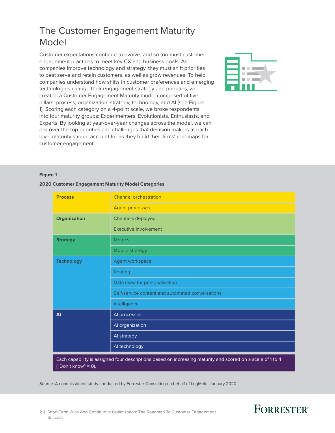## <span id="page-3-0"></span>The Customer Engagement Maturity Model

Customer expectations continue to evolve, and so too must customer engagement practices to meet key CX and business goals. As companies improve technology and strategy, they must shift priorities to best serve and retain customers, as well as grow revenues. To help companies understand how shifts in customer preferences and emerging technologies change their engagement strategy and priorities, we created a Customer Engagement Maturity model comprised of five pillars: process, organization, strategy, technology, and AI (see Figure 1). Scoring each category on a 4-point scale, we broke respondents into four maturity groups: Experimenters, Evolutionists, Enthusiasts, and Experts. By looking at year-over-year changes across the model, we can discover the top priorities and challenges that decision makers at each level maturity should account for as they build their firms' roadmaps for customer engagement.



#### **Figure 1**

#### **2020 Customer Engagement Maturity Model Categories**

| <b>Process</b>    | <b>Channel orchestration</b>                     |
|-------------------|--------------------------------------------------|
|                   | <b>Agent processes</b>                           |
| Organization      | Channels deployed                                |
|                   | Executive involvement                            |
| <b>Strategy</b>   | <b>Metrics</b>                                   |
|                   | Mobile strategy                                  |
| <b>Technology</b> | Agent workspace                                  |
|                   | Routing                                          |
|                   | Data used for personalization                    |
|                   | Self-service content and automated conversations |
|                   | Intelligence                                     |
| <b>AI</b>         | Al processes                                     |
|                   | Al organization                                  |
|                   | Al strategy                                      |
|                   | Al technology                                    |

Each capability is assigned four descriptions based on increasing maturity and scored on a scale of 1 to 4 ("Don't know" =  $\overline{0}$ ).

Source: A commissioned study conducted by Forrester Consulting on behalf of LogMeIn, January 2020

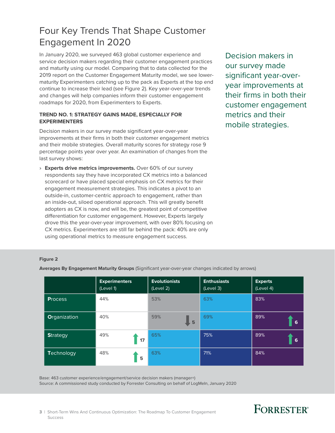## <span id="page-4-0"></span>Four Key Trends That Shape Customer Engagement In 2020

In January 2020, we surveyed 463 global customer experience and service decision makers regarding their customer engagement practices and maturity using our model. Comparing that to data collected for the 2019 report on the Customer Engagement Maturity model, we see lowermaturity Experimenters catching up to the pack as Experts at the top end continue to increase their lead (see Figure 2). Key year-over-year trends and changes will help companies inform their customer engagement roadmaps for 2020, from Experimenters to Experts.

### **TREND NO. 1: STRATEGY GAINS MADE, ESPECIALLY FOR EXPERIMENTERS**

Decision makers in our survey made significant year-over-year improvements at their firms in both their customer engagement metrics and their mobile strategies. Overall maturity scores for strategy rose 9 percentage points year over year. An examination of changes from the last survey shows:

› **Experts drive metrics improvements.** Over 60% of our survey respondents say they have incorporated CX metrics into a balanced scorecard or have placed special emphasis on CX metrics for their engagement measurement strategies. This indicates a pivot to an outside-in, customer-centric approach to engagement, rather than an inside-out, siloed operational approach. This will greatly benefit adopters as CX is now, and will be, the greatest point of competitive differentiation for customer engagement. However, Experts largely drove this the year-over-year improvement, with over 80% focusing on CX metrics. Experimenters are still far behind the pack: 40% are only using operational metrics to measure engagement success.

Decision makers in our survey made significant year-overyear improvements at their firms in both their customer engagement metrics and their mobile strategies.

#### **Figure 2**

|                 | <b>Experimenters</b><br>(Level 1) | <b>Evolutionists</b><br>(Level 2) | <b>Enthusiasts</b><br>(Level 3) | <b>Experts</b><br>(Level 4) |
|-----------------|-----------------------------------|-----------------------------------|---------------------------------|-----------------------------|
| <b>Process</b>  | 44%                               | 53%                               | 63%                             | 83%                         |
| Organization    | 40%                               | 59%<br>5                          | 69%                             | 89%<br>6                    |
| <b>Strategy</b> | 49%<br>17                         | 65%                               | 75%                             | 89%<br>6                    |
| Technology      | 48%<br>5                          | 63%                               | 71%                             | 84%                         |

**Averages By Engagement Maturity Groups** (Significant year-over-year changes indicated by arrows)

Base: 463 customer experience/engagement/service decision makers (manager+) Source: A commissioned study conducted by Forrester Consulting on behalf of LogMeIn, January 2020

# **FORRESTER®**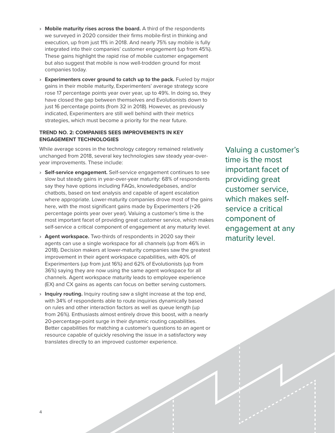- › **Mobile maturity rises across the board.** A third of the respondents we surveyed in 2020 consider their firms mobile-first in thinking and execution, up from just 11% in 2018. And nearly 75% say mobile is fully integrated into their companies' customer engagement (up from 45%). These gains highlight the rapid rise of mobile customer engagement but also suggest that mobile is now well-trodden ground for most companies today.
- › **Experimenters cover ground to catch up to the pack.** Fueled by major gains in their mobile maturity, Experimenters' average strategy score rose 17 percentage points year over year, up to 49%. In doing so, they have closed the gap between themselves and Evolutionists down to just 16 percentage points (from 32 in 2018). However, as previously indicated, Experimenters are still well behind with their metrics strategies, which must become a priority for the near future.

### **TREND NO. 2: COMPANIES SEES IMPROVEMENTS IN KEY ENGAGEMENT TECHNOLOGIES**

While average scores in the technology category remained relatively unchanged from 2018, several key technologies saw steady year-overyear improvements. These include:

- › **Self-service engagement.** Self-service engagement continues to see slow but steady gains in year-over-year maturity: 68% of respondents say they have options including FAQs, knowledgebases, and/or chatbots, based on text analysis and capable of agent escalation where appropriate. Lower-maturity companies drove most of the gains here, with the most significant gains made by Experimenters (+26 percentage points year over year). Valuing a customer's time is the most important facet of providing great customer service, which makes self-service a critical component of engagement at any maturity level.
- › **Agent workspace.** Two-thirds of respondents in 2020 say their agents can use a single workspace for all channels (up from 46% in 2018). Decision makers at lower-maturity companies saw the greatest improvement in their agent workspace capabilities, with 40% of Experimenters (up from just 16%) and 62% of Evolutionists (up from 36%) saying they are now using the same agent workspace for all channels. Agent workspace maturity leads to employee experience (EX) and CX gains as agents can focus on better serving customers.
- › **Inquiry routing.** Inquiry routing saw a slight increase at the top end, with 34% of respondents able to route inquiries dynamically based on rules and other interaction factors as well as queue length (up from 26%). Enthusiasts almost entirely drove this boost, with a nearly 20-percentage-point surge in their dynamic routing capabilities. Better capabilities for matching a customer's questions to an agent or resource capable of quickly resolving the issue in a satisfactory way translates directly to an improved customer experience.

Valuing a customer's time is the most important facet of providing great customer service, which makes selfservice a critical component of engagement at any maturity level.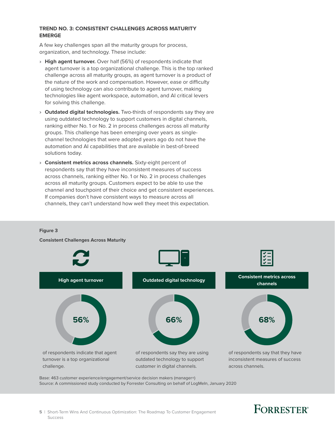#### **TREND NO. 3: CONSISTENT CHALLENGES ACROSS MATURITY EMERGE**

A few key challenges span all the maturity groups for process, organization, and technology. These include:

- › **High agent turnover.** Over half (56%) of respondents indicate that agent turnover is a top organizational challenge. This is the top ranked challenge across all maturity groups, as agent turnover is a product of the nature of the work and compensation. However, ease or difficulty of using technology can also contribute to agent turnover, making technologies like agent workspace, automation, and AI critical levers for solving this challenge.
- › **Outdated digital technologies.** Two-thirds of respondents say they are using outdated technology to support customers in digital channels, ranking either No. 1 or No. 2 in process challenges across all maturity groups. This challenge has been emerging over years as singlechannel technologies that were adopted years ago do not have the automation and AI capabilities that are available in best-of-breed solutions today.
- › **Consistent metrics across channels.** Sixty-eight percent of respondents say that they have inconsistent measures of success across channels, ranking either No. 1 or No. 2 in process challenges across all maturity groups. Customers expect to be able to use the channel and touchpoint of their choice and get consistent experiences. If companies don't have consistent ways to measure across all channels, they can't understand how well they meet this expectation.

#### **Figure 3**

**Consistent Challenges Across Maturity**



Base: 463 customer experience/engagement/service decision makers (manager+)

Source: A commissioned study conducted by Forrester Consulting on behalf of LogMeIn, January 2020

#### **5** | Short-Term Wins And Continuous Optimization: The Roadmap To Customer Engagement Success

# **FORRESTER**<sup>®</sup>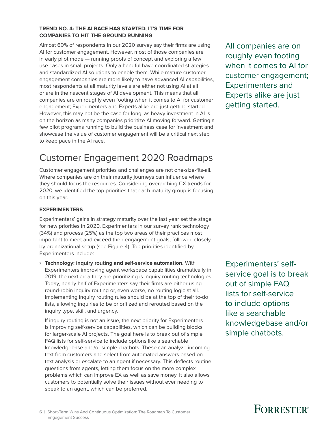#### <span id="page-7-0"></span>**TREND NO. 4: THE AI RACE HAS STARTED; IT'S TIME FOR COMPANIES TO HIT THE GROUND RUNNING**

Almost 60% of respondents in our 2020 survey say their firms are using AI for customer engagement. However, most of those companies are in early pilot mode — running proofs of concept and exploring a few use cases in small projects. Only a handful have coordinated strategies and standardized AI solutions to enable them. While mature customer engagement companies are more likely to have advanced AI capabilities, most respondents at all maturity levels are either not using AI at all or are in the nascent stages of AI development. This means that all companies are on roughly even footing when it comes to AI for customer engagement; Experimenters and Experts alike are just getting started. However, this may not be the case for long, as heavy investment in AI is on the horizon as many companies prioritize AI moving forward. Getting a few pilot programs running to build the business case for investment and showcase the value of customer engagement will be a critical next step to keep pace in the AI race.

# Customer Engagement 2020 Roadmaps

Customer engagement priorities and challenges are not one-size-fits-all. Where companies are on their maturity journeys can influence where they should focus the resources. Considering overarching CX trends for 2020, we identified the top priorities that each maturity group is focusing on this year.

### **EXPERIMENTERS**

Experimenters' gains in strategy maturity over the last year set the stage for new priorities in 2020. Experimenters in our survey rank technology (34%) and process (25%) as the top two areas of their practices most important to meet and exceed their engagement goals, followed closely by organizational setup (see Figure 4). Top priorities identified by Experimenters include:

› **Technology: inquiry routing and self-service automation.** With Experimenters improving agent workspace capabilities dramatically in 2019, the next area they are prioritizing is inquiry routing technologies. Today, nearly half of Experimenters say their firms are either using round-robin inquiry routing or, even worse, no routing logic at all. Implementing inquiry routing rules should be at the top of their to-do lists, allowing inquiries to be prioritized and rerouted based on the inquiry type, skill, and urgency.

If inquiry routing is not an issue, the next priority for Experimenters is improving self-service capabilities, which can be building blocks for larger-scale AI projects. The goal here is to break out of simple FAQ lists for self-service to include options like a searchable knowledgebase and/or simple chatbots. These can analyze incoming text from customers and select from automated answers based on text analysis or escalate to an agent if necessary. This deflects routine questions from agents, letting them focus on the more complex problems which can improve EX as well as save money. It also allows customers to potentially solve their issues without ever needing to speak to an agent, which can be preferred.

All companies are on roughly even footing when it comes to AI for customer engagement; Experimenters and Experts alike are just getting started.

Experimenters' selfservice goal is to break out of simple FAQ lists for self-service to include options like a searchable knowledgebase and/or simple chatbots.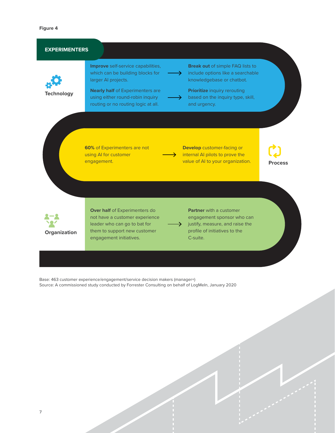| <b>EXPERIMENTERS</b> |                                                                                                                                                                                                                     |                                                                                                                                                                                                                                           |                |
|----------------------|---------------------------------------------------------------------------------------------------------------------------------------------------------------------------------------------------------------------|-------------------------------------------------------------------------------------------------------------------------------------------------------------------------------------------------------------------------------------------|----------------|
| <b>Technology</b>    | Improve self-service capabilities,<br>which can be building blocks for<br>larger Al projects.<br><b>Nearly half of Experimenters are</b><br>using either round-robin inquiry<br>routing or no routing logic at all. | <b>Break out of simple FAQ lists to</b><br>include options like a searchable<br>$\rightarrow$<br>knowledgebase or chatbot.<br><b>Prioritize inquiry rerouting</b><br>based on the inquiry type, skill,<br>$\rightarrow$ .<br>and urgency. |                |
|                      | <b>60%</b> of Experimenters are not<br>using AI for customer<br>engagement.                                                                                                                                         | <b>Develop</b> customer-facing or<br>internal AI pilots to prove the<br>value of AI to your organization.                                                                                                                                 | <b>Process</b> |
| Organization         | Over half of Experimenters do<br>not have a customer experience<br>leader who can go to bat for<br>them to support new customer<br>engagement initiatives.                                                          | <b>Partner</b> with a customer<br>engagement sponsor who can<br>justify, measure, and raise the<br>profile of initiatives to the<br>C-suite.                                                                                              |                |

Base: 463 customer experience/engagement/service decision makers (manager+) Source: A commissioned study conducted by Forrester Consulting on behalf of LogMeIn, January 2020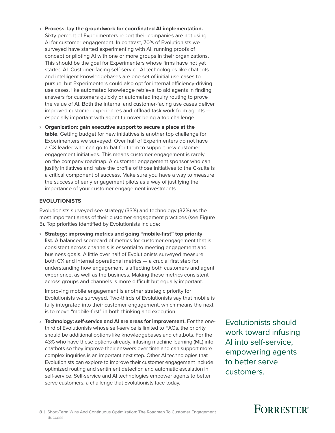- › **Process: lay the groundwork for coordinated AI implementation.** Sixty percent of Experimenters report their companies are not using AI for customer engagement. In contrast, 70% of Evolutionists we surveyed have started experimenting with AI, running proofs of concept or piloting AI with one or more groups in their organizations. This should be the goal for Experimenters whose firms have not yet started AI. Customer-facing self-service AI technologies like chatbots and intelligent knowledgebases are one set of initial use cases to pursue, but Experimenters could also opt for internal efficiency-driving use cases, like automated knowledge retrieval to aid agents in finding answers for customers quickly or automated inquiry routing to prove the value of AI. Both the internal and customer-facing use cases deliver improved customer experiences and offload task work from agents especially important with agent turnover being a top challenge.
- › **Organization: gain executive support to secure a place at the table.** Getting budget for new initiatives is another top challenge for Experimenters we surveyed. Over half of Experimenters do not have a CX leader who can go to bat for them to support new customer engagement initiatives. This means customer engagement is rarely on the company roadmap. A customer engagement sponsor who can justify initiatives and raise the profile of those initiatives to the C-suite is a critical component of success. Make sure you have a way to measure the success of early engagement pilots as a way of justifying the importance of your customer engagement investments.

#### **EVOLUTIONISTS**

Evolutionists surveyed see strategy (33%) and technology (32%) as the most important areas of their customer engagement practices (see Figure 5). Top priorities identified by Evolutionists include:

› **Strategy: improving metrics and going "mobile-first" top priority list.** A balanced scorecard of metrics for customer engagement that is consistent across channels is essential to meeting engagement and business goals. A little over half of Evolutionists surveyed measure both CX and internal operational metrics — a crucial first step for understanding how engagement is affecting both customers and agent experience, as well as the business. Making these metrics consistent across groups and channels is more difficult but equally important.

Improving mobile engagement is another strategic priority for Evolutionists we surveyed. Two-thirds of Evolutionists say that mobile is fully integrated into their customer engagement, which means the next is to move "mobile-first" in both thinking and execution.

› **Technology: self-service and AI are areas for improvement.** For the onethird of Evolutionists whose self-service is limited to FAQs, the priority should be additional options like knowledgebases and chatbots. For the 43% who have these options already, infusing machine learning (ML) into chatbots so they improve their answers over time and can support more complex inquiries is an important next step. Other AI technologies that Evolutionists can explore to improve their customer engagement include optimized routing and sentiment detection and automatic escalation in self-service. Self-service and AI technologies empower agents to better serve customers, a challenge that Evolutionists face today.

Evolutionists should work toward infusing AI into self-service, empowering agents to better serve customers.

# **FORRESTER**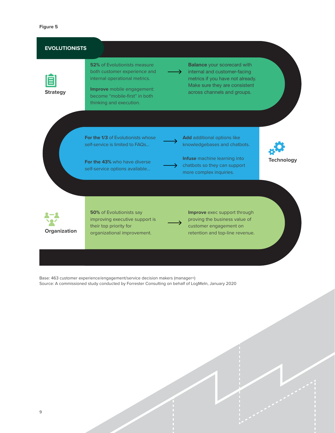| <b>EVOLUTIONISTS</b> |                                                                                                                                                                                                |                                                                                                                                                                                    |  |
|----------------------|------------------------------------------------------------------------------------------------------------------------------------------------------------------------------------------------|------------------------------------------------------------------------------------------------------------------------------------------------------------------------------------|--|
| <b>Strategy</b>      | <b>52%</b> of Evolutionists measure<br>both customer experience and<br>internal operational metrics.<br>Improve mobile engagement:<br>become "mobile-first" in both<br>thinking and execution. | <b>Balance</b> your scorecard with<br>internal and customer-facing<br>metrics if you have not already.<br>Make sure they are consistent<br>across channels and groups.             |  |
|                      | <b>For the 1/3 of Evolutionists whose</b><br>self-service is limited to FAQs<br>For the 43% who have diverse<br>self-service options available                                                 | <b>Add</b> additional options like<br>knowledgebases and chatbots.<br>Infuse machine learning into<br><b>Technology</b><br>chatbots so they can support<br>more complex inquiries. |  |
| Organization         | <b>50%</b> of Evolutionists say<br>improving executive support is<br>their top priority for<br>organizational improvement.                                                                     | <b>Improve</b> exec support through<br>proving the business value of<br>customer engagement on<br>retention and top-line revenue.                                                  |  |

Base: 463 customer experience/engagement/service decision makers (manager+) Source: A commissioned study conducted by Forrester Consulting on behalf of LogMeIn, January 2020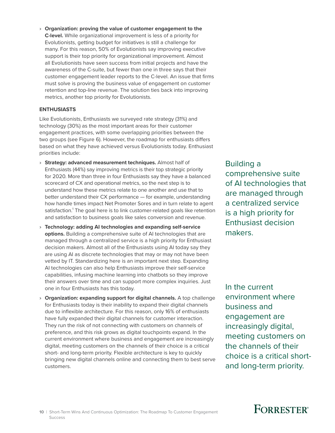› **Organization: proving the value of customer engagement to the C-level.** While organizational improvement is less of a priority for Evolutionists, getting budget for initiatives is still a challenge for many. For this reason, 50% of Evolutionists say improving executive support is their top priority for organizational improvement. Almost all Evolutionists have seen success from initial projects and have the awareness of the C-suite, but fewer than one in three says that their customer engagement leader reports to the C-level. An issue that firms must solve is proving the business value of engagement on customer retention and top-line revenue. The solution ties back into improving metrics, another top priority for Evolutionists.

#### **ENTHUSIASTS**

Like Evolutionists, Enthusiasts we surveyed rate strategy (31%) and technology (30%) as the most important areas for their customer engagement practices, with some overlapping priorities between the two groups (see Figure 6). However, the roadmap for enthusiasts differs based on what they have achieved versus Evolutionists today. Enthusiast priorities include:

- › **Strategy: advanced measurement techniques.** Almost half of Enthusiasts (44%) say improving metrics is their top strategic priority for 2020. More than three in four Enthusiasts say they have a balanced scorecard of CX and operational metrics, so the next step is to understand how these metrics relate to one another and use that to better understand their CX performance — for example, understanding how handle times impact Net Promoter Sores and in turn relate to agent satisfaction.<sup>1</sup> The goal here is to link customer-related goals like retention and satisfaction to business goals like sales conversion and revenue.
- › **Technology: adding AI technologies and expanding self-service options.** Building a comprehensive suite of AI technologies that are managed through a centralized service is a high priority for Enthusiast decision makers. Almost all of the Enthusiasts using AI today say they are using AI as discrete technologies that may or may not have been vetted by IT. Standardizing here is an important next step. Expanding AI technologies can also help Enthusiasts improve their self-service capabilities, infusing machine learning into chatbots so they improve their answers over time and can support more complex inquiries. Just one in four Enthusiasts has this today.
- › **Organization: expanding support for digital channels.** A top challenge for Enthusiasts today is their inability to expand their digital channels due to inflexible architecture. For this reason, only 16% of enthusiasts have fully expanded their digital channels for customer interaction. They run the risk of not connecting with customers on channels of preference, and this risk grows as digital touchpoints expand. In the current environment where business and engagement are increasingly digital, meeting customers on the channels of their choice is a critical short- and long-term priority. Flexible architecture is key to quickly bringing new digital channels online and connecting them to best serve customers.

Building a comprehensive suite of AI technologies that are managed through a centralized service is a high priority for Enthusiast decision makers.

In the current environment where business and engagement are increasingly digital, meeting customers on the channels of their choice is a critical shortand long-term priority.

# **FORRESTER**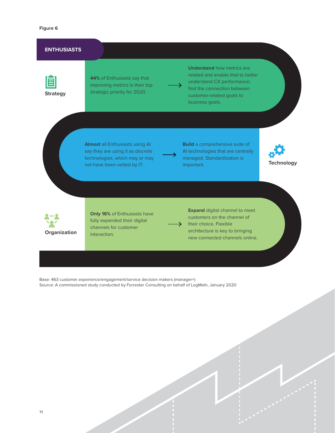#### **ENTHUSIASTS**



**44%** of Enthusiasts say that improving metrics is their top strategic priority for 2020.

**Understand** how metrics are related and enable that to better understand CX performance; find the connection between customer-related goals to business goals.

**Almost** all Enthusiasts using AI say they are using it as discrete technologies, which may or may not have been vetted by IT.



**Build** a comprehensive suite of AI technologies that are centrally managed. Standardization is important.





**Only 16%** of Enthusiasts have fully expanded their digital channels for customer interaction.

**Expand** digital channel to meet customers on the channel of their choice. Flexible architecture is key to bringing new connected channels online.

Base: 463 customer experience/engagement/service decision makers (manager+) Source: A commissioned study conducted by Forrester Consulting on behalf of LogMeIn, January 2020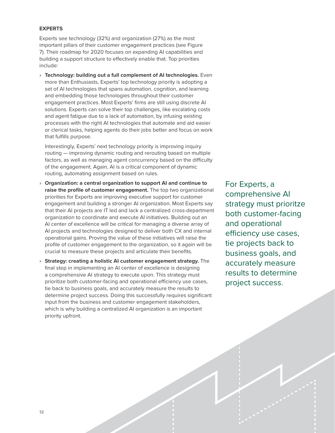#### **EXPERTS**

Experts see technology (32%) and organization (27%) as the most important pillars of their customer engagement practices (see Figure 7). Their roadmap for 2020 focuses on expanding AI capabilities and building a support structure to effectively enable that. Top priorities include:

› **Technology: building out a full complement of AI technologies.** Even more than Enthusiasts, Experts' top technology priority is adopting a set of AI technologies that spans automation, cognition, and learning and embedding those technologies throughout their customer engagement practices. Most Experts' firms are still using discrete AI solutions. Experts can solve their top challenges, like escalating costs and agent fatigue due to a lack of automation, by infusing existing processes with the right AI technologies that automate and aid easier or clerical tasks, helping agents do their jobs better and focus on work that fulfills purpose.

Interestingly, Experts' next technology priority is improving inquiry routing — improving dynamic routing and rerouting based on multiple factors, as well as managing agent concurrency based on the difficulty of the engagement. Again, AI is a critical component of dynamic routing, automating assignment based on rules.

- › **Organization: a central organization to support AI and continue to raise the profile of customer engagement.** The top two organizational priorities for Experts are improving executive support for customer engagement and building a stronger AI organization. Most Experts say that their AI projects are IT led and lack a centralized cross-department organization to coordinate and execute AI initiatives. Building out an AI center of excellence will be critical for managing a diverse array of AI projects and technologies designed to deliver both CX and internal operational gains. Proving the value of these initiatives will raise the profile of customer engagement to the organization, so it again will be crucial to measure these projects and articulate their benefits.
- › **Strategy: creating a holistic AI customer engagement strategy.** The final step in implementing an AI center of excellence is designing a comprehensive AI strategy to execute upon. This strategy must prioritize both customer-facing and operational efficiency use cases, tie back to business goals, and accurately measure the results to determine project success. Doing this successfully requires significant input from the business and customer engagement stakeholders, which is why building a centralized AI organization is an important priority upfront.

For Experts, a comprehensive AI strategy must prioritze both customer-facing and operational efficiency use cases, tie projects back to business goals, and accurately measure results to determine project success.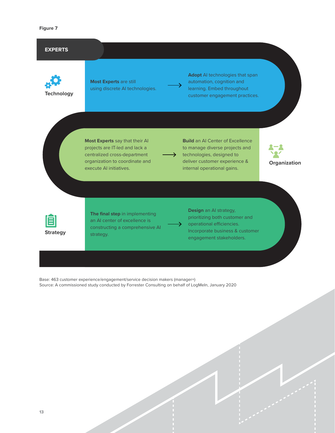#### **Figure 7**



Base: 463 customer experience/engagement/service decision makers (manager+) Source: A commissioned study conducted by Forrester Consulting on behalf of LogMeIn, January 2020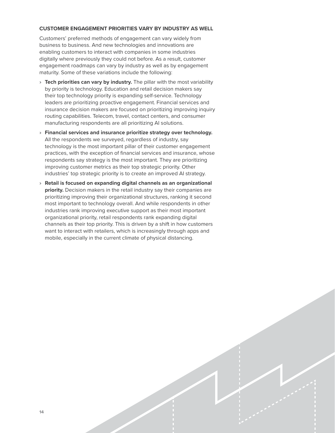#### **CUSTOMER ENGAGEMENT PRIORITIES VARY BY INDUSTRY AS WELL**

Customers' preferred methods of engagement can vary widely from business to business. And new technologies and innovations are enabling customers to interact with companies in some industries digitally where previously they could not before. As a result, customer engagement roadmaps can vary by industry as well as by engagement maturity. Some of these variations include the following:

- › **Tech priorities can vary by industry.** The pillar with the most variability by priority is technology. Education and retail decision makers say their top technology priority is expanding self-service. Technology leaders are prioritizing proactive engagement. Financial services and insurance decision makers are focused on prioritizing improving inquiry routing capabilities. Telecom, travel, contact centers, and consumer manufacturing respondents are all prioritizing AI solutions.
- › **Financial services and insurance prioritize strategy over technology.** All the respondents we surveyed, regardless of industry, say technology is the most important pillar of their customer engagement practices, with the exception of financial services and insurance, whose respondents say strategy is the most important. They are prioritizing improving customer metrics as their top strategic priority. Other industries' top strategic priority is to create an improved AI strategy.
- › **Retail is focused on expanding digital channels as an organizational priority.** Decision makers in the retail industry say their companies are prioritizing improving their organizational structures, ranking it second most important to technology overall. And while respondents in other industries rank improving executive support as their most important organizational priority, retail respondents rank expanding digital channels as their top priority. This is driven by a shift in how customers want to interact with retailers, which is increasingly through apps and mobile, especially in the current climate of physical distancing.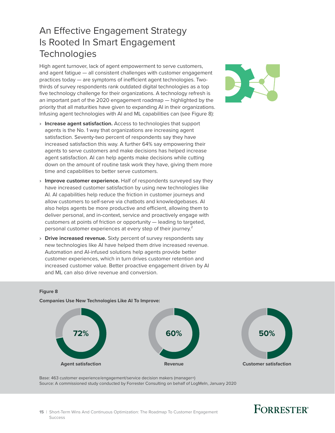<span id="page-16-0"></span>An Effective Engagement Strategy Is Rooted In Smart Engagement **Technologies** 

High agent turnover, lack of agent empowerment to serve customers, and agent fatigue — all consistent challenges with customer engagement practices today — are symptoms of inefficient agent technologies. Twothirds of survey respondents rank outdated digital technologies as a top five technology challenge for their organizations. A technology refresh is an important part of the 2020 engagement roadmap — highlighted by the priority that all maturities have given to expanding AI in their organizations. Infusing agent technologies with AI and ML capabilities can (see Figure 8):

- › **Increase agent satisfaction.** Access to technologies that support agents is the No. 1 way that organizations are increasing agent satisfaction. Seventy-two percent of respondents say they have increased satisfaction this way. A further 64% say empowering their agents to serve customers and make decisions has helped increase agent satisfaction. AI can help agents make decisions while cutting down on the amount of routine task work they have, giving them more time and capabilities to better serve customers.
- › **Improve customer experience.** Half of respondents surveyed say they have increased customer satisfaction by using new technologies like AI. AI capabilities help reduce the friction in customer journeys and allow customers to self-serve via chatbots and knowledgebases. AI also helps agents be more productive and efficient, allowing them to deliver personal, and in-context, service and proactively engage with customers at points of friction or opportunity — leading to targeted, personal customer experiences at every step of their journey.<sup>2</sup>
- › **Drive increased revenue.** Sixty percent of survey respondents say new technologies like AI have helped them drive increased revenue. Automation and AI-infused solutions help agents provide better customer experiences, which in turn drives customer retention and increased customer value. Better proactive engagement driven by AI and ML can also drive revenue and conversion.



#### **Figure 8**

**Companies Use New Technologies Like AI To Improve:**



Base: 463 customer experience/engagement/service decision makers (manager+) Source: A commissioned study conducted by Forrester Consulting on behalf of LogMeIn, January 2020

#### **15** | Short-Term Wins And Continuous Optimization: The Roadmap To Customer Engagement Success

# **FORRESTER**<sup>®</sup>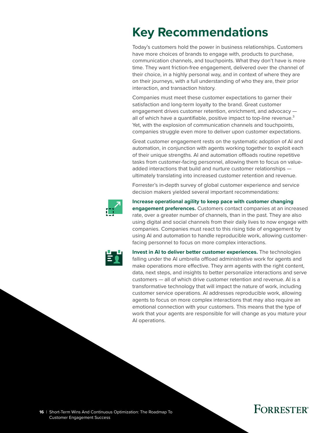# <span id="page-17-0"></span>**Key Recommendations**

Today's customers hold the power in business relationships. Customers have more choices of brands to engage with, products to purchase, communication channels, and touchpoints. What they don't have is more time. They want friction-free engagement, delivered over the channel of their choice, in a highly personal way, and in context of where they are on their journeys, with a full understanding of who they are, their prior interaction, and transaction history.

Companies must meet these customer expectations to garner their satisfaction and long-term loyalty to the brand. Great customer engagement drives customer retention, enrichment, and advocacy all of which have a quantifiable, positive impact to top-line revenue. $3$ Yet, with the explosion of communication channels and touchpoints, companies struggle even more to deliver upon customer expectations.

Great customer engagement rests on the systematic adoption of AI and automation, in conjunction with agents working together to exploit each of their unique strengths. AI and automation offloads routine repetitive tasks from customer-facing personnel, allowing them to focus on valueadded interactions that build and nurture customer relationships ultimately translating into increased customer retention and revenue.

Forrester's in-depth survey of global customer experience and service decision makers yielded several important recommendations:



### **Increase operational agility to keep pace with customer changing**

**engagement preferences.** Customers contact companies at an increased rate, over a greater number of channels, than in the past. They are also using digital and social channels from their daily lives to now engage with companies. Companies must react to this rising tide of engagement by using AI and automation to handle reproducible work, allowing customerfacing personnel to focus on more complex interactions.



**Invest in AI to deliver better customer experiences.** The technologies falling under the AI umbrella offload administrative work for agents and make operations more effective. They arm agents with the right content, data, next steps, and insights to better personalize interactions and serve customers — all of which drive customer retention and revenue. AI is a transformative technology that will impact the nature of work, including customer service operations. AI addresses reproducible work, allowing agents to focus on more complex interactions that may also require an emotional connection with your customers. This means that the type of work that your agents are responsible for will change as you mature your AI operations.

# **FORRESTER®**

**16** | Short-Term Wins And Continuous Optimization: The Roadmap To Customer Engagement Success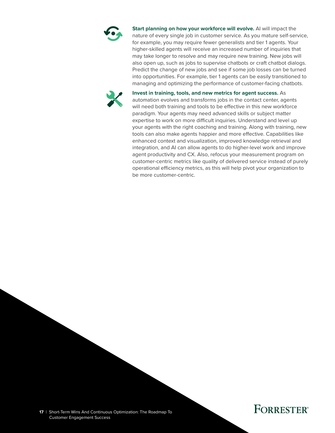

**Start planning on how your workforce will evolve.** AI will impact the nature of every single job in customer service. As you mature self-service, for example, you may require fewer generalists and tier 1 agents. Your higher-skilled agents will receive an increased number of inquiries that may take longer to resolve and may require new training. New jobs will also open up, such as jobs to supervise chatbots or craft chatbot dialogs. Predict the change of new jobs and see if some job losses can be turned into opportunities. For example, tier 1 agents can be easily transitioned to managing and optimizing the performance of customer-facing chatbots.



**Invest in training, tools, and new metrics for agent success.** As automation evolves and transforms jobs in the contact center, agents will need both training and tools to be effective in this new workforce paradigm. Your agents may need advanced skills or subject matter expertise to work on more difficult inquiries. Understand and level up your agents with the right coaching and training. Along with training, new tools can also make agents happier and more effective. Capabilities like enhanced context and visualization, improved knowledge retrieval and integration, and AI can allow agents to do higher-level work and improve agent productivity and CX. Also, refocus your measurement program on customer-centric metrics like quality of delivered service instead of purely operational efficiency metrics, as this will help pivot your organization to be more customer-centric.

**17** | Short-Term Wins And Continuous Optimization: The Roadmap To Customer Engagement Success

### **FORRESTER®**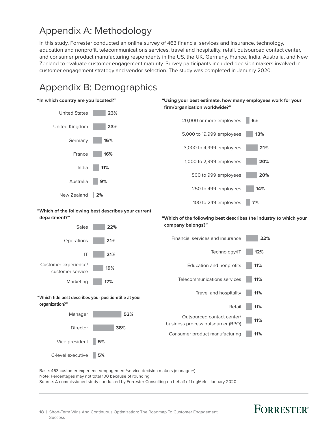### <span id="page-19-0"></span>Appendix A: Methodology

In this study, Forrester conducted an online survey of 463 financial services and insurance, technology, education and nonprofit, telecommunications services, travel and hospitality, retail, outsourced contact center, and consumer product manufacturing respondents in the US, the UK, Germany, France, India, Australia, and New Zealand to evaluate customer engagement maturity. Survey participants included decision makers involved in customer engagement strategy and vendor selection. The study was completed in January 2020.

# Appendix B: Demographics



Base: 463 customer experience/engagement/service decision makers (manager+) Note: Percentages may not total 100 because of rounding. Source: A commissioned study conducted by Forrester Consulting on behalf of LogMeIn, January 2020